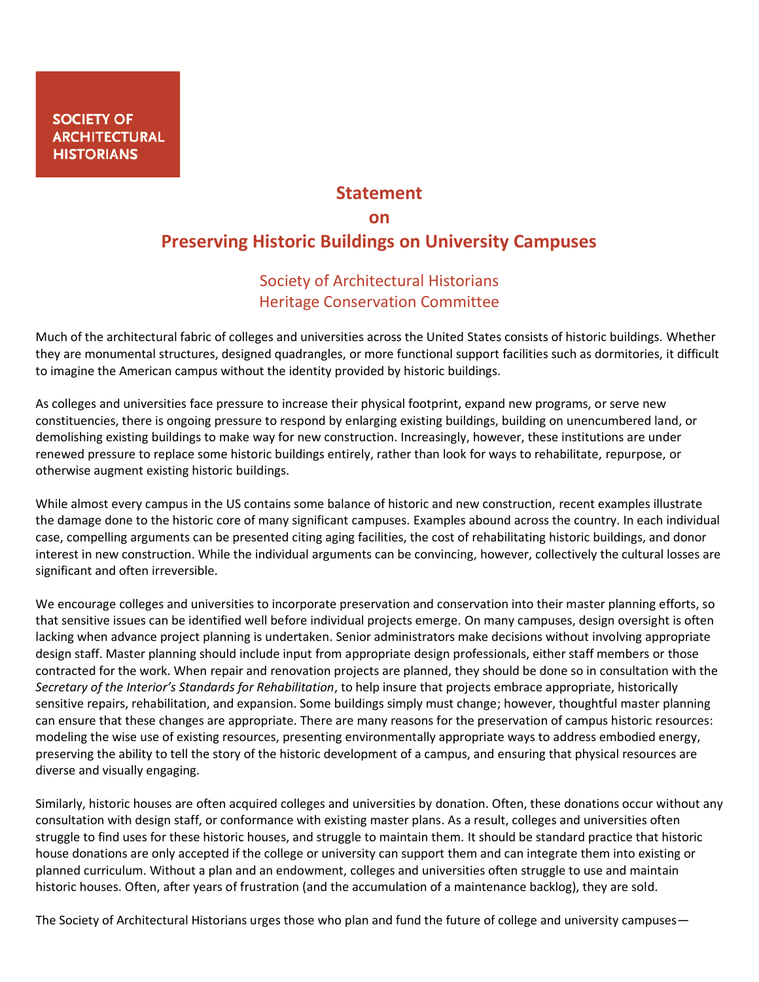## **Statement on Preserving Historic Buildings on University Campuses**

## Society of Architectural Historians Heritage Conservation Committee

Much of the architectural fabric of colleges and universities across the United States consists of historic buildings. Whether they are monumental structures, designed quadrangles, or more functional support facilities such as dormitories, it difficult to imagine the American campus without the identity provided by historic buildings.

As colleges and universities face pressure to increase their physical footprint, expand new programs, or serve new constituencies, there is ongoing pressure to respond by enlarging existing buildings, building on unencumbered land, or demolishing existing buildings to make way for new construction. Increasingly, however, these institutions are under renewed pressure to replace some historic buildings entirely, rather than look for ways to rehabilitate, repurpose, or otherwise augment existing historic buildings.

While almost every campus in the US contains some balance of historic and new construction, recent examples illustrate the damage done to the historic core of many significant campuses. Examples abound across the country. In each individual case, compelling arguments can be presented citing aging facilities, the cost of rehabilitating historic buildings, and donor interest in new construction. While the individual arguments can be convincing, however, collectively the cultural losses are significant and often irreversible.

We encourage colleges and universities to incorporate preservation and conservation into their master planning efforts, so that sensitive issues can be identified well before individual projects emerge. On many campuses, design oversight is often lacking when advance project planning is undertaken. Senior administrators make decisions without involving appropriate design staff. Master planning should include input from appropriate design professionals, either staff members or those contracted for the work. When repair and renovation projects are planned, they should be done so in consultation with the *Secretary of the Interior's Standards for Rehabilitation*, to help insure that projects embrace appropriate, historically sensitive repairs, rehabilitation, and expansion. Some buildings simply must change; however, thoughtful master planning can ensure that these changes are appropriate. There are many reasons for the preservation of campus historic resources: modeling the wise use of existing resources, presenting environmentally appropriate ways to address embodied energy, preserving the ability to tell the story of the historic development of a campus, and ensuring that physical resources are diverse and visually engaging.

Similarly, historic houses are often acquired colleges and universities by donation. Often, these donations occur without any consultation with design staff, or conformance with existing master plans. As a result, colleges and universities often struggle to find uses for these historic houses, and struggle to maintain them. It should be standard practice that historic house donations are only accepted if the college or university can support them and can integrate them into existing or planned curriculum. Without a plan and an endowment, colleges and universities often struggle to use and maintain historic houses. Often, after years of frustration (and the accumulation of a maintenance backlog), they are sold.

The Society of Architectural Historians urges those who plan and fund the future of college and university campuses—